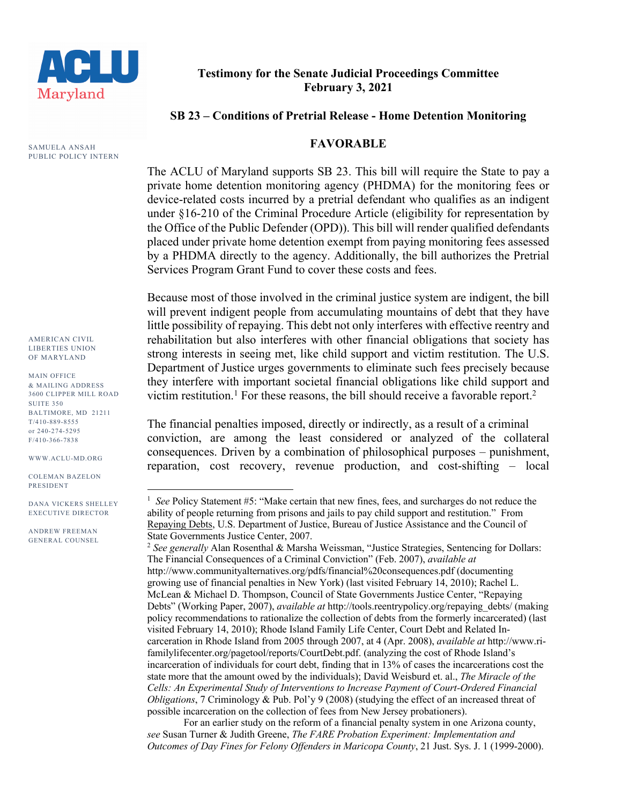

**Testimony for the Senate Judicial Proceedings Committee February 3, 2021**

## **SB 23 – Conditions of Pretrial Release - Home Detention Monitoring**

## **FAVORABLE**

The ACLU of Maryland supports SB 23. This bill will require the State to pay a private home detention monitoring agency (PHDMA) for the monitoring fees or device-related costs incurred by a pretrial defendant who qualifies as an indigent under §16-210 of the Criminal Procedure Article (eligibility for representation by the Office of the Public Defender (OPD)). This bill will render qualified defendants placed under private home detention exempt from paying monitoring fees assessed by a PHDMA directly to the agency. Additionally, the bill authorizes the Pretrial Services Program Grant Fund to cover these costs and fees.

Because most of those involved in the criminal justice system are indigent, the bill will prevent indigent people from accumulating mountains of debt that they have little possibility of repaying. This debt not only interferes with effective reentry and rehabilitation but also interferes with other financial obligations that society has strong interests in seeing met, like child support and victim restitution. The U.S. Department of Justice urges governments to eliminate such fees precisely because they interfere with important societal financial obligations like child support and victim restitution.<sup>1</sup> For these reasons, the bill should receive a favorable report.<sup>2</sup>

The financial penalties imposed, directly or indirectly, as a result of a criminal conviction, are among the least considered or analyzed of the collateral consequences. Driven by a combination of philosophical purposes – punishment, reparation, cost recovery, revenue production, and cost-shifting – local

SAMUELA ANSAH PUBLIC POLICY INTERN

AMERICAN CIVIL LIBERTIES UNION OF MARYLAND

MAIN OFFICE & MAILING ADDRESS 3600 CLIPPER MILL ROAD SUITE 350 BALTIMORE, MD 21211 T/410-889-8555 or 240-274-5295 F/410-366-7838

WWW.ACLU-MD.ORG

COLEMAN BAZELON PRESIDENT

DANA VICKERS SHELLEY EXECUTIVE DIRECTOR

ANDREW FREEMAN GENERAL COUNSEL

<sup>&</sup>lt;sup>1</sup> See Policy Statement #5: "Make certain that new fines, fees, and surcharges do not reduce the ability of people returning from prisons and jails to pay child support and restitution." From Repaying Debts, U.S. Department of Justice, Bureau of Justice Assistance and the Council of State Governments Justice Center, 2007.

<sup>2</sup> *See generally* Alan Rosenthal & Marsha Weissman, "Justice Strategies, Sentencing for Dollars: The Financial Consequences of a Criminal Conviction" (Feb. 2007), *available at*  http://www.communityalternatives.org/pdfs/financial%20consequences.pdf (documenting growing use of financial penalties in New York) (last visited February 14, 2010); Rachel L. McLean & Michael D. Thompson, Council of State Governments Justice Center, "Repaying Debts" (Working Paper, 2007), *available at* http://tools.reentrypolicy.org/repaying\_debts/ (making policy recommendations to rationalize the collection of debts from the formerly incarcerated) (last visited February 14, 2010); Rhode Island Family Life Center, Court Debt and Related Incarceration in Rhode Island from 2005 through 2007, at 4 (Apr. 2008), *available at* http://www.rifamilylifecenter.org/pagetool/reports/CourtDebt.pdf. (analyzing the cost of Rhode Island's incarceration of individuals for court debt, finding that in 13% of cases the incarcerations cost the state more that the amount owed by the individuals); David Weisburd et. al., *The Miracle of the Cells: An Experimental Study of Interventions to Increase Payment of Court-Ordered Financial Obligations*, 7 Criminology & Pub. Pol'y 9 (2008) (studying the effect of an increased threat of possible incarceration on the collection of fees from New Jersey probationers).

For an earlier study on the reform of a financial penalty system in one Arizona county, *see* Susan Turner & Judith Greene, *The FARE Probation Experiment: Implementation and Outcomes of Day Fines for Felony Offenders in Maricopa County*, 21 Just. Sys. J. 1 (1999-2000).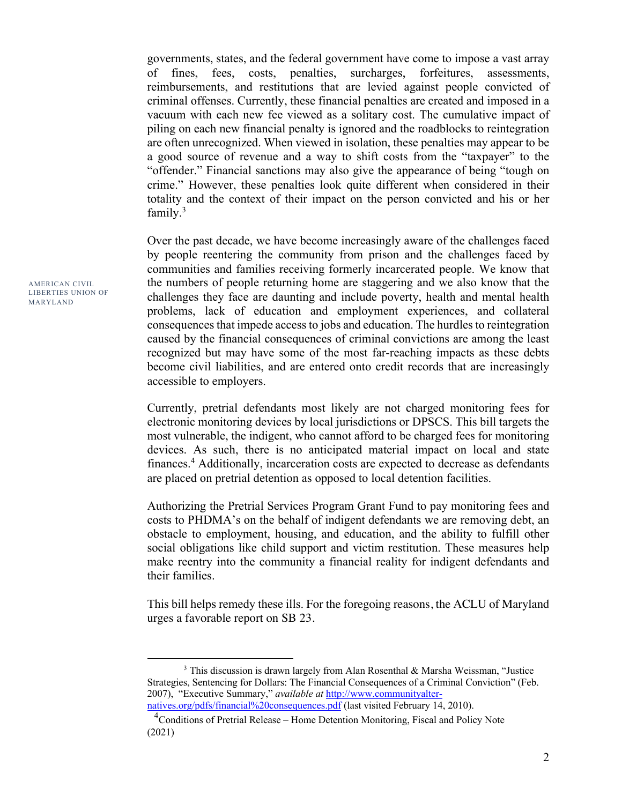governments, states, and the federal government have come to impose a vast array of fines, fees, costs, penalties, surcharges, forfeitures, assessments, reimbursements, and restitutions that are levied against people convicted of criminal offenses. Currently, these financial penalties are created and imposed in a vacuum with each new fee viewed as a solitary cost. The cumulative impact of piling on each new financial penalty is ignored and the roadblocks to reintegration are often unrecognized. When viewed in isolation, these penalties may appear to be a good source of revenue and a way to shift costs from the "taxpayer" to the "offender." Financial sanctions may also give the appearance of being "tough on crime." However, these penalties look quite different when considered in their totality and the context of their impact on the person convicted and his or her family. $3$ 

Over the past decade, we have become increasingly aware of the challenges faced by people reentering the community from prison and the challenges faced by communities and families receiving formerly incarcerated people. We know that the numbers of people returning home are staggering and we also know that the challenges they face are daunting and include poverty, health and mental health problems, lack of education and employment experiences, and collateral consequences that impede access to jobs and education. The hurdles to reintegration caused by the financial consequences of criminal convictions are among the least recognized but may have some of the most far-reaching impacts as these debts become civil liabilities, and are entered onto credit records that are increasingly accessible to employers.

Currently, pretrial defendants most likely are not charged monitoring fees for electronic monitoring devices by local jurisdictions or DPSCS. This bill targets the most vulnerable, the indigent, who cannot afford to be charged fees for monitoring devices. As such, there is no anticipated material impact on local and state finances.4 Additionally, incarceration costs are expected to decrease as defendants are placed on pretrial detention as opposed to local detention facilities.

Authorizing the Pretrial Services Program Grant Fund to pay monitoring fees and costs to PHDMA's on the behalf of indigent defendants we are removing debt, an obstacle to employment, housing, and education, and the ability to fulfill other social obligations like child support and victim restitution. These measures help make reentry into the community a financial reality for indigent defendants and their families.

This bill helps remedy these ills. For the foregoing reasons, the ACLU of Maryland urges a favorable report on SB 23.

AMERICAN CIVIL LIBERTIES UNION OF MARYLAND

<sup>&</sup>lt;sup>3</sup> This discussion is drawn largely from Alan Rosenthal & Marsha Weissman, "Justice Strategies, Sentencing for Dollars: The Financial Consequences of a Criminal Conviction" (Feb. 2007), "Executive Summary," *available at* http://www.communityalternatives.org/pdfs/financial%20consequences.pdf (last visited February 14, 2010).

<sup>&</sup>lt;sup>4</sup> Conditions of Pretrial Release – Home Detention Monitoring, Fiscal and Policy Note

<sup>(2021)</sup>